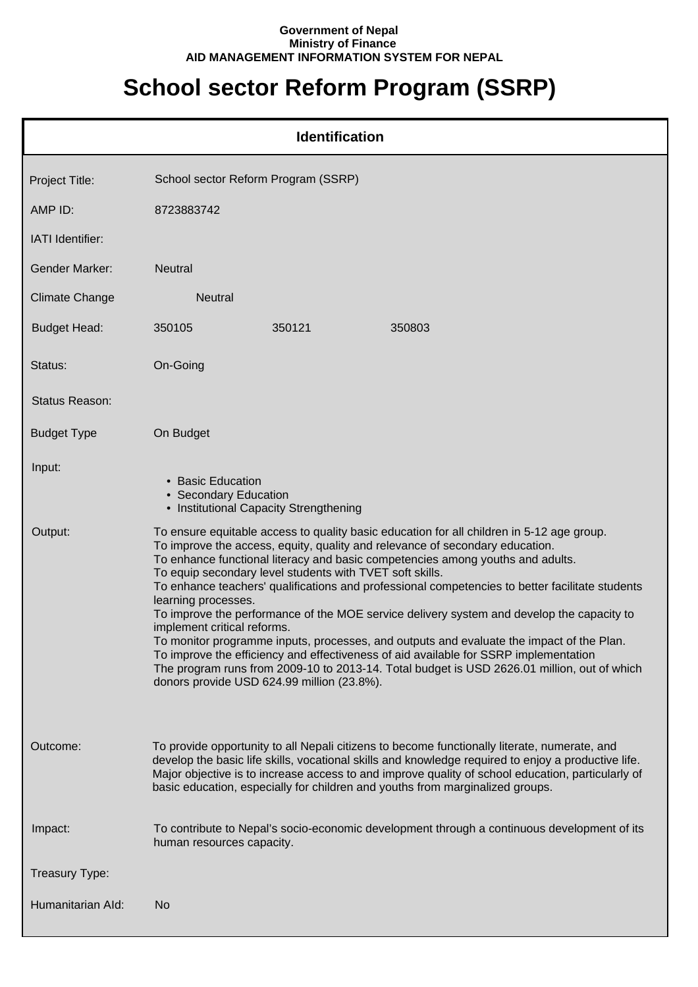## **Government of Nepal Ministry of Finance AID MANAGEMENT INFORMATION SYSTEM FOR NEPAL**

## **School sector Reform Program (SSRP)**

|                       | <b>Identification</b>                                                                                                                                                                                                                                                                                                                                                                                                                                                                                                                                                                                                                                                                                                                                                                                                                                                                                          |  |  |
|-----------------------|----------------------------------------------------------------------------------------------------------------------------------------------------------------------------------------------------------------------------------------------------------------------------------------------------------------------------------------------------------------------------------------------------------------------------------------------------------------------------------------------------------------------------------------------------------------------------------------------------------------------------------------------------------------------------------------------------------------------------------------------------------------------------------------------------------------------------------------------------------------------------------------------------------------|--|--|
| Project Title:        | School sector Reform Program (SSRP)                                                                                                                                                                                                                                                                                                                                                                                                                                                                                                                                                                                                                                                                                                                                                                                                                                                                            |  |  |
| AMP ID:               | 8723883742                                                                                                                                                                                                                                                                                                                                                                                                                                                                                                                                                                                                                                                                                                                                                                                                                                                                                                     |  |  |
| IATI Identifier:      |                                                                                                                                                                                                                                                                                                                                                                                                                                                                                                                                                                                                                                                                                                                                                                                                                                                                                                                |  |  |
| <b>Gender Marker:</b> | <b>Neutral</b>                                                                                                                                                                                                                                                                                                                                                                                                                                                                                                                                                                                                                                                                                                                                                                                                                                                                                                 |  |  |
| <b>Climate Change</b> | <b>Neutral</b>                                                                                                                                                                                                                                                                                                                                                                                                                                                                                                                                                                                                                                                                                                                                                                                                                                                                                                 |  |  |
| <b>Budget Head:</b>   | 350105<br>350121<br>350803                                                                                                                                                                                                                                                                                                                                                                                                                                                                                                                                                                                                                                                                                                                                                                                                                                                                                     |  |  |
| Status:               | On-Going                                                                                                                                                                                                                                                                                                                                                                                                                                                                                                                                                                                                                                                                                                                                                                                                                                                                                                       |  |  |
| Status Reason:        |                                                                                                                                                                                                                                                                                                                                                                                                                                                                                                                                                                                                                                                                                                                                                                                                                                                                                                                |  |  |
| <b>Budget Type</b>    | On Budget                                                                                                                                                                                                                                                                                                                                                                                                                                                                                                                                                                                                                                                                                                                                                                                                                                                                                                      |  |  |
| Input:                | • Basic Education<br>• Secondary Education<br>• Institutional Capacity Strengthening                                                                                                                                                                                                                                                                                                                                                                                                                                                                                                                                                                                                                                                                                                                                                                                                                           |  |  |
| Output:               | To ensure equitable access to quality basic education for all children in 5-12 age group.<br>To improve the access, equity, quality and relevance of secondary education.<br>To enhance functional literacy and basic competencies among youths and adults.<br>To equip secondary level students with TVET soft skills.<br>To enhance teachers' qualifications and professional competencies to better facilitate students<br>learning processes.<br>To improve the performance of the MOE service delivery system and develop the capacity to<br>implement critical reforms.<br>To monitor programme inputs, processes, and outputs and evaluate the impact of the Plan.<br>To improve the efficiency and effectiveness of aid available for SSRP implementation<br>The program runs from 2009-10 to 2013-14. Total budget is USD 2626.01 million, out of which<br>donors provide USD 624.99 million (23.8%). |  |  |
| Outcome:              | To provide opportunity to all Nepali citizens to become functionally literate, numerate, and<br>develop the basic life skills, vocational skills and knowledge required to enjoy a productive life.<br>Major objective is to increase access to and improve quality of school education, particularly of<br>basic education, especially for children and youths from marginalized groups.                                                                                                                                                                                                                                                                                                                                                                                                                                                                                                                      |  |  |
| Impact:               | To contribute to Nepal's socio-economic development through a continuous development of its<br>human resources capacity.                                                                                                                                                                                                                                                                                                                                                                                                                                                                                                                                                                                                                                                                                                                                                                                       |  |  |
| Treasury Type:        |                                                                                                                                                                                                                                                                                                                                                                                                                                                                                                                                                                                                                                                                                                                                                                                                                                                                                                                |  |  |
| Humanitarian Ald:     | N <sub>o</sub>                                                                                                                                                                                                                                                                                                                                                                                                                                                                                                                                                                                                                                                                                                                                                                                                                                                                                                 |  |  |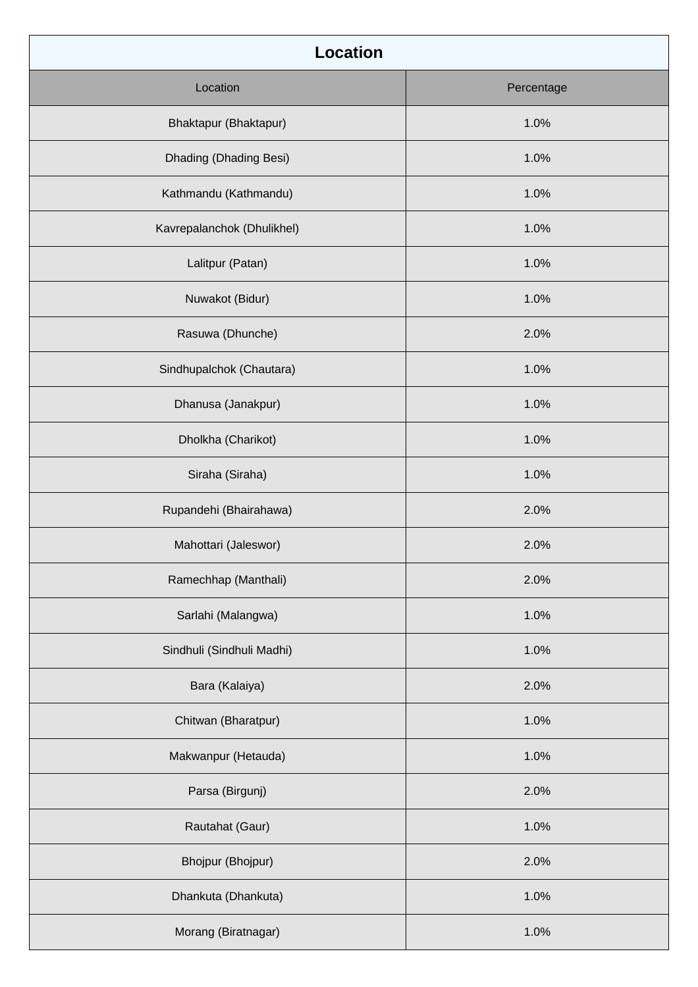| <b>Location</b>            |            |  |  |  |
|----------------------------|------------|--|--|--|
| Location                   | Percentage |  |  |  |
| Bhaktapur (Bhaktapur)      | 1.0%       |  |  |  |
| Dhading (Dhading Besi)     | 1.0%       |  |  |  |
| Kathmandu (Kathmandu)      | 1.0%       |  |  |  |
| Kavrepalanchok (Dhulikhel) | 1.0%       |  |  |  |
| Lalitpur (Patan)           | 1.0%       |  |  |  |
| Nuwakot (Bidur)            | 1.0%       |  |  |  |
| Rasuwa (Dhunche)           | 2.0%       |  |  |  |
| Sindhupalchok (Chautara)   | 1.0%       |  |  |  |
| Dhanusa (Janakpur)         | 1.0%       |  |  |  |
| Dholkha (Charikot)         | 1.0%       |  |  |  |
| Siraha (Siraha)            | 1.0%       |  |  |  |
| Rupandehi (Bhairahawa)     | 2.0%       |  |  |  |
| Mahottari (Jaleswor)       | 2.0%       |  |  |  |
| Ramechhap (Manthali)       | 2.0%       |  |  |  |
| Sarlahi (Malangwa)         | 1.0%       |  |  |  |
| Sindhuli (Sindhuli Madhi)  | 1.0%       |  |  |  |
| Bara (Kalaiya)             | 2.0%       |  |  |  |
| Chitwan (Bharatpur)        | 1.0%       |  |  |  |
| Makwanpur (Hetauda)        | 1.0%       |  |  |  |
| Parsa (Birgunj)            | 2.0%       |  |  |  |
| Rautahat (Gaur)            | 1.0%       |  |  |  |
| Bhojpur (Bhojpur)          | 2.0%       |  |  |  |
| Dhankuta (Dhankuta)        | 1.0%       |  |  |  |
| Morang (Biratnagar)        | 1.0%       |  |  |  |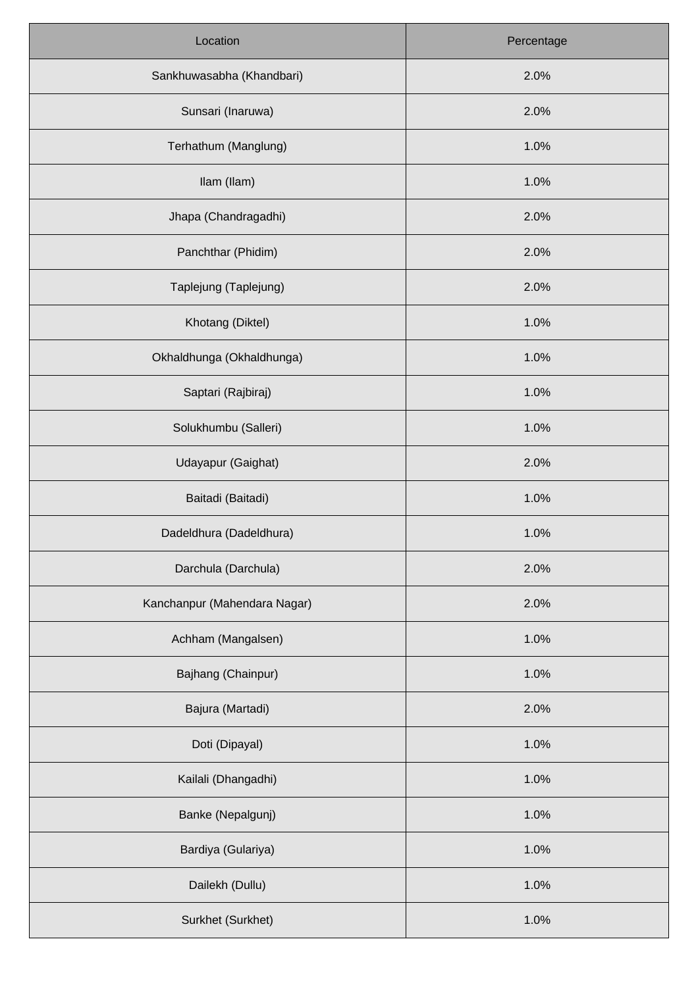| Location                     | Percentage |  |
|------------------------------|------------|--|
| Sankhuwasabha (Khandbari)    | 2.0%       |  |
| Sunsari (Inaruwa)            | 2.0%       |  |
| Terhathum (Manglung)         | 1.0%       |  |
| Ilam (Ilam)                  | 1.0%       |  |
| Jhapa (Chandragadhi)         | 2.0%       |  |
| Panchthar (Phidim)           | 2.0%       |  |
| Taplejung (Taplejung)        | 2.0%       |  |
| Khotang (Diktel)             | 1.0%       |  |
| Okhaldhunga (Okhaldhunga)    | 1.0%       |  |
| Saptari (Rajbiraj)           | 1.0%       |  |
| Solukhumbu (Salleri)         | 1.0%       |  |
| Udayapur (Gaighat)           | 2.0%       |  |
| Baitadi (Baitadi)            | 1.0%       |  |
| Dadeldhura (Dadeldhura)      | 1.0%       |  |
| Darchula (Darchula)          | 2.0%       |  |
| Kanchanpur (Mahendara Nagar) | 2.0%       |  |
| Achham (Mangalsen)           | 1.0%       |  |
| Bajhang (Chainpur)           | 1.0%       |  |
| Bajura (Martadi)             | 2.0%       |  |
| Doti (Dipayal)               | 1.0%       |  |
| Kailali (Dhangadhi)          | 1.0%       |  |
| Banke (Nepalgunj)            | 1.0%       |  |
| Bardiya (Gulariya)           | 1.0%       |  |
| Dailekh (Dullu)              | 1.0%       |  |
| Surkhet (Surkhet)            | 1.0%       |  |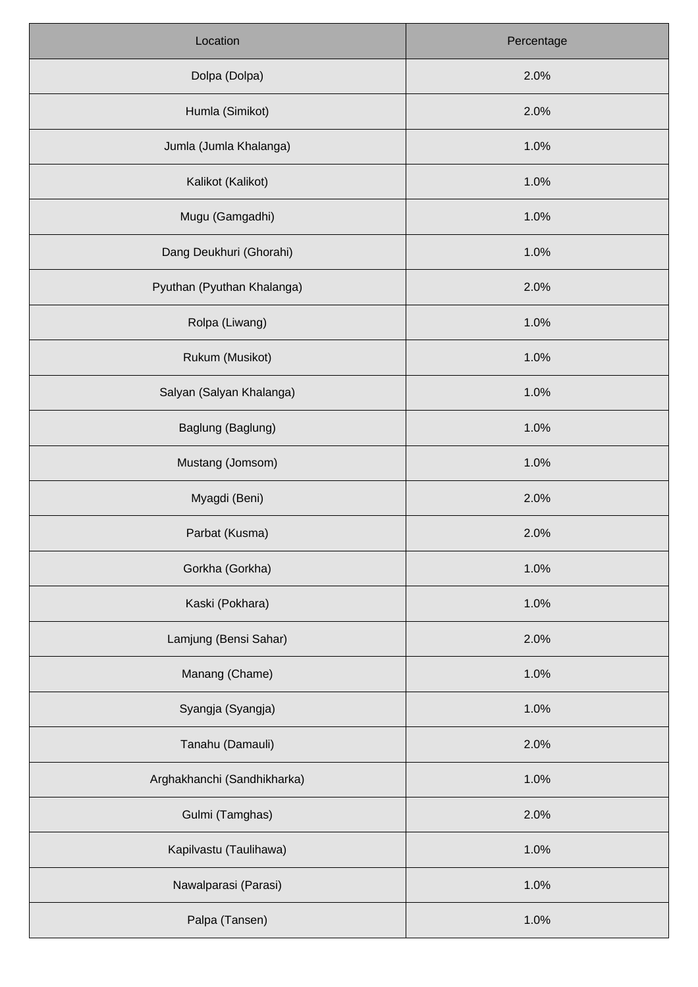| Location                    | Percentage |  |
|-----------------------------|------------|--|
| Dolpa (Dolpa)               | 2.0%       |  |
| Humla (Simikot)             | 2.0%       |  |
| Jumla (Jumla Khalanga)      | 1.0%       |  |
| Kalikot (Kalikot)           | 1.0%       |  |
| Mugu (Gamgadhi)             | 1.0%       |  |
| Dang Deukhuri (Ghorahi)     | 1.0%       |  |
| Pyuthan (Pyuthan Khalanga)  | 2.0%       |  |
| Rolpa (Liwang)              | 1.0%       |  |
| Rukum (Musikot)             | 1.0%       |  |
| Salyan (Salyan Khalanga)    | 1.0%       |  |
| Baglung (Baglung)           | 1.0%       |  |
| Mustang (Jomsom)            | 1.0%       |  |
| Myagdi (Beni)               | 2.0%       |  |
| Parbat (Kusma)              | 2.0%       |  |
| Gorkha (Gorkha)             | 1.0%       |  |
| Kaski (Pokhara)             | 1.0%       |  |
| Lamjung (Bensi Sahar)       | 2.0%       |  |
| Manang (Chame)              | 1.0%       |  |
| Syangja (Syangja)           | 1.0%       |  |
| Tanahu (Damauli)            | 2.0%       |  |
| Arghakhanchi (Sandhikharka) | 1.0%       |  |
| Gulmi (Tamghas)             | 2.0%       |  |
| Kapilvastu (Taulihawa)      | 1.0%       |  |
| Nawalparasi (Parasi)        | 1.0%       |  |
| Palpa (Tansen)              | 1.0%       |  |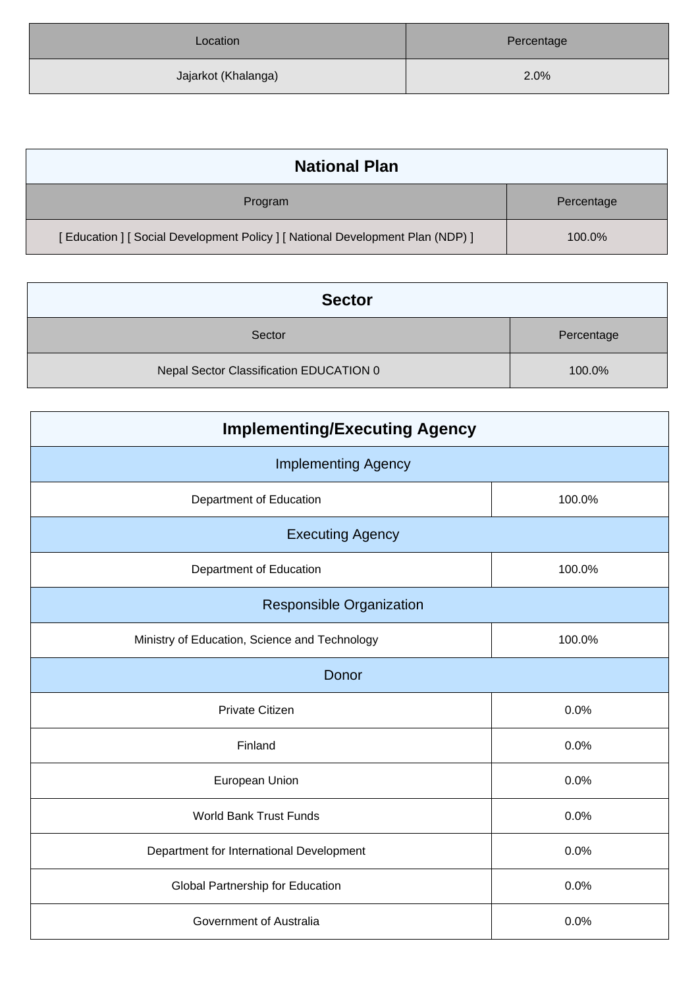| Location            | Percentage |  |
|---------------------|------------|--|
| Jajarkot (Khalanga) | 2.0%       |  |

| <b>National Plan</b>                                                         |            |
|------------------------------------------------------------------------------|------------|
| Program                                                                      | Percentage |
| [Education ] [Social Development Policy ] [National Development Plan (NDP) ] | 100.0%     |

| <b>Sector</b>                           |            |  |  |
|-----------------------------------------|------------|--|--|
| Sector                                  | Percentage |  |  |
| Nepal Sector Classification EDUCATION 0 | 100.0%     |  |  |

| <b>Implementing/Executing Agency</b>          |        |  |  |
|-----------------------------------------------|--------|--|--|
| <b>Implementing Agency</b>                    |        |  |  |
| Department of Education                       | 100.0% |  |  |
| <b>Executing Agency</b>                       |        |  |  |
| Department of Education                       | 100.0% |  |  |
| <b>Responsible Organization</b>               |        |  |  |
| Ministry of Education, Science and Technology | 100.0% |  |  |
| Donor                                         |        |  |  |
| Private Citizen                               | 0.0%   |  |  |
| Finland                                       | 0.0%   |  |  |
| European Union                                | 0.0%   |  |  |
| <b>World Bank Trust Funds</b>                 | 0.0%   |  |  |
| Department for International Development      | 0.0%   |  |  |
| Global Partnership for Education              | 0.0%   |  |  |
| Government of Australia                       | 0.0%   |  |  |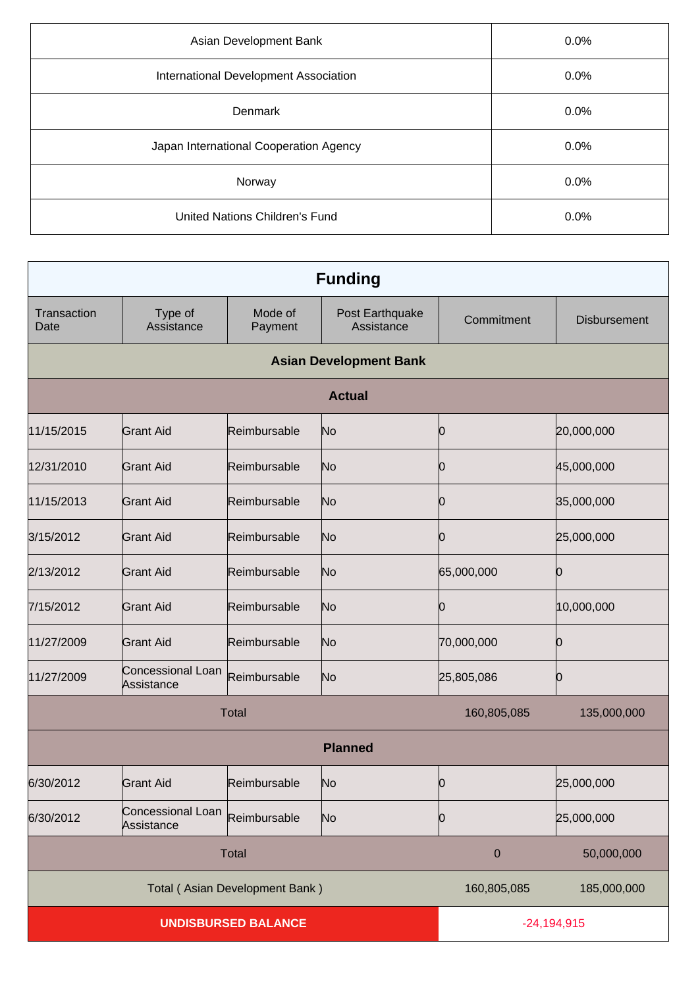| Asian Development Bank                 | 0.0% |
|----------------------------------------|------|
| International Development Association  | 0.0% |
| <b>Denmark</b>                         | 0.0% |
| Japan International Cooperation Agency | 0.0% |
| Norway                                 | 0.0% |
| <b>United Nations Children's Fund</b>  | 0.0% |

| <b>Funding</b>                 |                                 |                    |                               |               |                     |
|--------------------------------|---------------------------------|--------------------|-------------------------------|---------------|---------------------|
| Transaction<br>Date            | Type of<br>Assistance           | Mode of<br>Payment | Post Earthquake<br>Assistance | Commitment    | <b>Disbursement</b> |
|                                |                                 |                    | <b>Asian Development Bank</b> |               |                     |
|                                |                                 |                    | <b>Actual</b>                 |               |                     |
| 11/15/2015                     | <b>Grant Aid</b>                | Reimbursable       | No                            | Ю             | 20,000,000          |
| 12/31/2010                     | Grant Aid                       | Reimbursable       | No                            | O             | 45,000,000          |
| 11/15/2013                     | <b>Grant Aid</b>                | Reimbursable       | No                            | Ю             | 35,000,000          |
| 3/15/2012                      | <b>Grant Aid</b>                | Reimbursable       | No                            | n             | 25,000,000          |
| 2/13/2012                      | <b>Grant Aid</b>                | Reimbursable       | No                            | 65,000,000    | 10                  |
| 7/15/2012                      | <b>Grant Aid</b>                | Reimbursable       | No                            | O             | 10,000,000          |
| 11/27/2009                     | <b>Grant Aid</b>                | Reimbursable       | No                            | 70,000,000    | 10                  |
| 11/27/2009                     | Concessional Loan<br>Assistance | Reimbursable       | N <sub>o</sub>                | 25,805,086    | 10                  |
| <b>Total</b>                   |                                 |                    | 160,805,085                   | 135,000,000   |                     |
|                                | <b>Planned</b>                  |                    |                               |               |                     |
| 6/30/2012                      | <b>Grant Aid</b>                | Reimbursable       | N <sub>o</sub>                | IO.           | 25,000,000          |
| 6/30/2012                      | Concessional Loan<br>Assistance | Reimbursable       | N <sub>o</sub>                | 10            | 25,000,000          |
| <b>Total</b>                   |                                 |                    | $\pmb{0}$                     | 50,000,000    |                     |
| Total (Asian Development Bank) |                                 | 160,805,085        | 185,000,000                   |               |                     |
| <b>UNDISBURSED BALANCE</b>     |                                 |                    |                               | $-24,194,915$ |                     |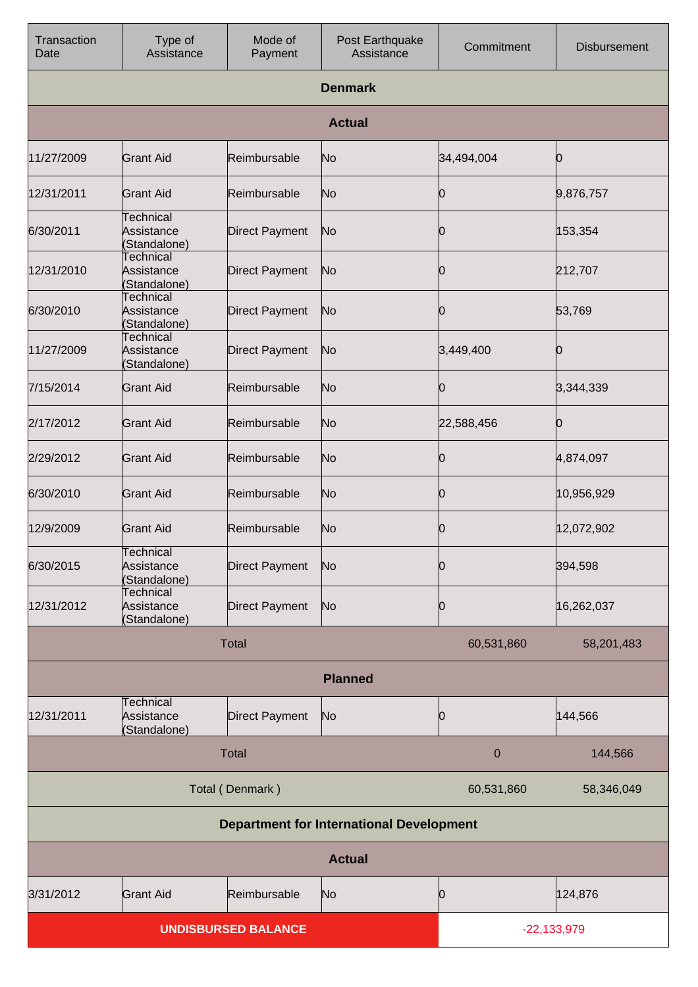| Transaction<br>Date                             | Type of<br>Assistance                          | Mode of<br>Payment    | Post Earthquake<br>Assistance | Commitment       | <b>Disbursement</b> |
|-------------------------------------------------|------------------------------------------------|-----------------------|-------------------------------|------------------|---------------------|
|                                                 |                                                |                       | <b>Denmark</b>                |                  |                     |
|                                                 |                                                |                       | <b>Actual</b>                 |                  |                     |
| 11/27/2009                                      | Grant Aid                                      | Reimbursable          | No                            | 34,494,004       | Ю                   |
| 12/31/2011                                      | <b>Grant Aid</b>                               | Reimbursable          | No                            | O                | 9,876,757           |
| 6/30/2011                                       | <b>Technical</b><br>Assistance<br>(Standalone) | <b>Direct Payment</b> | No                            | O                | 153,354             |
| 12/31/2010                                      | Technical<br>Assistance<br>(Standalone)        | Direct Payment        | No                            | ( )              | 212,707             |
| 6/30/2010                                       | <b>Technical</b><br>Assistance<br>(Standalone) | Direct Payment        | No                            | Ю                | 53,769              |
| 11/27/2009                                      | <b>Technical</b><br>Assistance<br>(Standalone) | <b>Direct Payment</b> | No                            | 3,449,400        | Ю                   |
| 7/15/2014                                       | <b>Grant Aid</b>                               | Reimbursable          | No                            | 10               | 3,344,339           |
| 2/17/2012                                       | <b>Grant Aid</b>                               | Reimbursable          | No                            | 22,588,456       | Ю                   |
| 2/29/2012                                       | <b>Grant Aid</b>                               | Reimbursable          | No                            | 10               | 4,874,097           |
| 6/30/2010                                       | <b>Grant Aid</b>                               | Reimbursable          | No                            | Ю                | 10,956,929          |
| 12/9/2009                                       | <b>Grant Aid</b>                               | Reimbursable          | No                            | Ю                | 12,072,902          |
| 6/30/2015                                       | Technical<br>Assistance<br>(Standalone)        | <b>Direct Payment</b> | No                            | Ю                | 394,598             |
| 12/31/2012                                      | Technical<br>Assistance<br>(Standalone)        | Direct Payment        | No                            | 10               | 16,262,037          |
|                                                 |                                                | <b>Total</b>          |                               | 60,531,860       | 58,201,483          |
|                                                 | <b>Planned</b>                                 |                       |                               |                  |                     |
| 12/31/2011                                      | <b>Technical</b><br>Assistance<br>(Standalone) | <b>Direct Payment</b> | No                            | Ŋ                | 144,566             |
|                                                 |                                                | <b>Total</b>          |                               | $\boldsymbol{0}$ | 144,566             |
| Total (Denmark)                                 |                                                |                       | 60,531,860                    | 58,346,049       |                     |
| <b>Department for International Development</b> |                                                |                       |                               |                  |                     |
|                                                 |                                                |                       | <b>Actual</b>                 |                  |                     |
| 3/31/2012                                       | <b>Grant Aid</b>                               | Reimbursable          | No                            | 10               | 124,876             |
| <b>UNDISBURSED BALANCE</b>                      |                                                |                       | $-22,133,979$                 |                  |                     |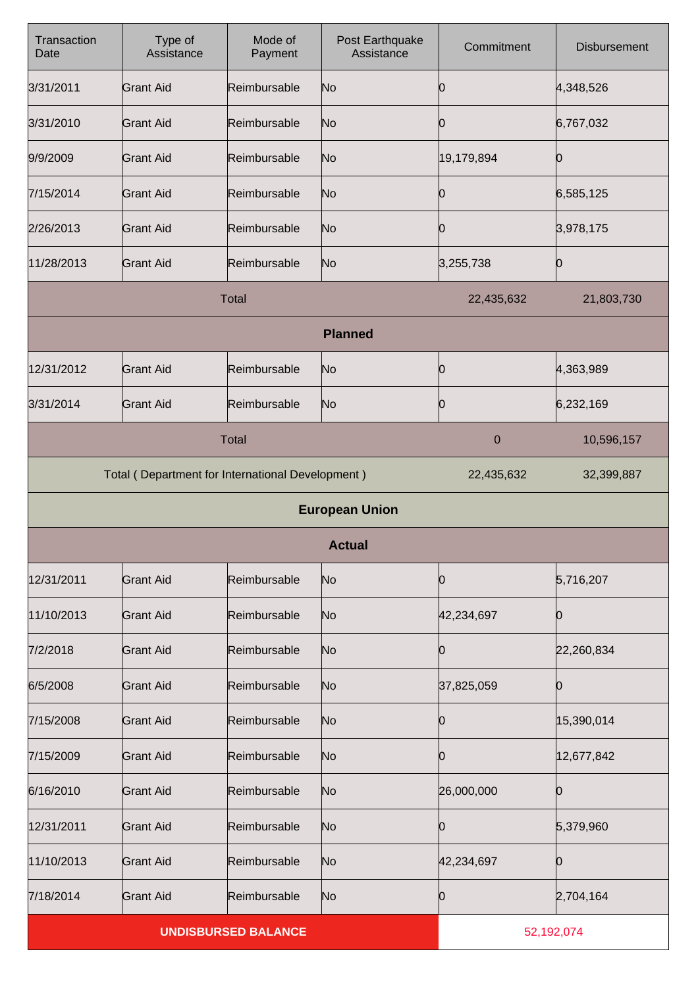| Transaction<br>Date | Type of<br>Assistance                            | Mode of<br>Payment | Post Earthquake<br>Assistance | Commitment  | <b>Disbursement</b> |
|---------------------|--------------------------------------------------|--------------------|-------------------------------|-------------|---------------------|
| 3/31/2011           | <b>Grant Aid</b>                                 | Reimbursable       | No                            | Ю           | 4,348,526           |
| 3/31/2010           | <b>Grant Aid</b>                                 | Reimbursable       | No                            | 10          | 6,767,032           |
| 9/9/2009            | <b>Grant Aid</b>                                 | Reimbursable       | No                            | 19,179,894  | 10                  |
| 7/15/2014           | <b>Grant Aid</b>                                 | Reimbursable       | No                            | Ю           | 6,585,125           |
| 2/26/2013           | <b>Grant Aid</b>                                 | Reimbursable       | No                            | Ю           | 3,978,175           |
| 11/28/2013          | <b>Grant Aid</b>                                 | Reimbursable       | No                            | 3,255,738   | 0                   |
|                     |                                                  | <b>Total</b>       |                               | 22,435,632  | 21,803,730          |
|                     |                                                  |                    | <b>Planned</b>                |             |                     |
| 12/31/2012          | <b>Grant Aid</b>                                 | Reimbursable       | No                            | Ю           | 4,363,989           |
| 3/31/2014           | <b>Grant Aid</b>                                 | Reimbursable       | No                            | 10          | 6,232,169           |
| <b>Total</b>        |                                                  |                    |                               | $\mathbf 0$ | 10,596,157          |
|                     | Total (Department for International Development) |                    |                               | 22,435,632  | 32,399,887          |
|                     |                                                  |                    | <b>European Union</b>         |             |                     |
|                     |                                                  |                    | <b>Actual</b>                 |             |                     |
| 12/31/2011          | <b>Grant Aid</b>                                 | Reimbursable       | N <sub>o</sub>                | Ю           | 5,716,207           |
| 11/10/2013          | <b>Grant Aid</b>                                 | Reimbursable       | No                            | 42,234,697  | 10                  |
| 7/2/2018            | <b>Grant Aid</b>                                 | Reimbursable       | No                            | 10          | 22,260,834          |
| 6/5/2008            | <b>Grant Aid</b>                                 | Reimbursable       | No                            | 37,825,059  | Ю                   |
| 7/15/2008           | <b>Grant Aid</b>                                 | Reimbursable       | No                            | Ю           | 15,390,014          |
| 7/15/2009           | <b>Grant Aid</b>                                 | Reimbursable       | No                            | Ŋ           | 12,677,842          |
| 6/16/2010           | <b>Grant Aid</b>                                 | Reimbursable       | No                            | 26,000,000  | 0                   |
| 12/31/2011          | <b>Grant Aid</b>                                 | Reimbursable       | No                            | Ю           | 5,379,960           |
| 11/10/2013          | <b>Grant Aid</b>                                 | Reimbursable       | No                            | 42,234,697  | 10                  |
| 7/18/2014           | <b>Grant Aid</b>                                 | Reimbursable       | N <sub>o</sub>                | 0           | 2,704,164           |
|                     | <b>UNDISBURSED BALANCE</b>                       |                    |                               | 52,192,074  |                     |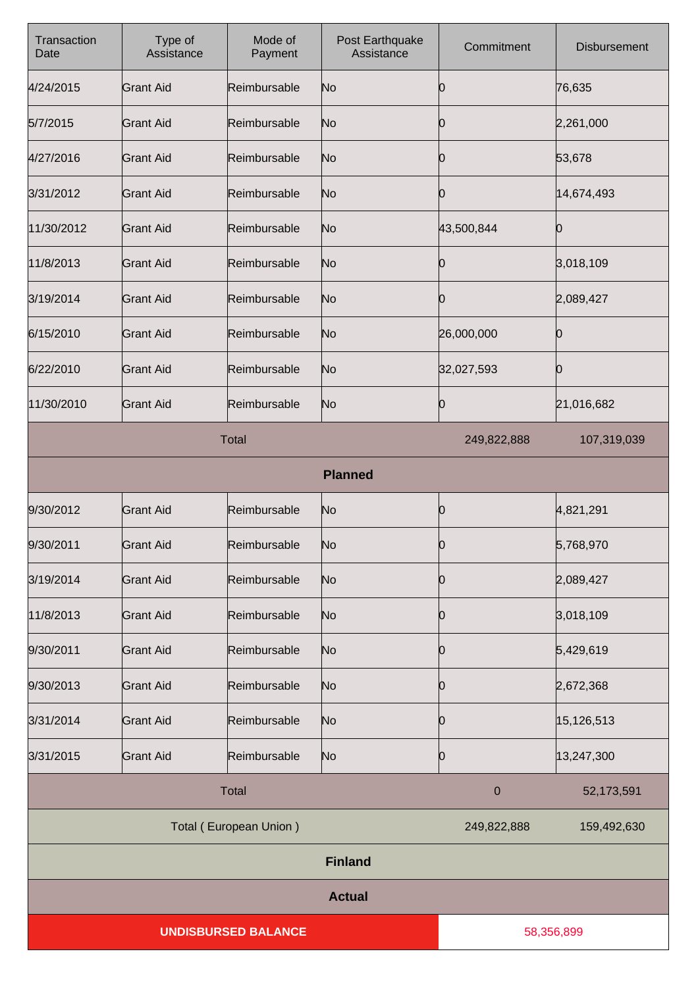| Transaction<br>Date        | Type of<br>Assistance | Mode of<br>Payment | Post Earthquake<br>Assistance | Commitment   | Disbursement |
|----------------------------|-----------------------|--------------------|-------------------------------|--------------|--------------|
| 4/24/2015                  | <b>Grant Aid</b>      | Reimbursable       | No                            | 10           | 76,635       |
| 5/7/2015                   | <b>Grant Aid</b>      | Reimbursable       | No                            | 0            | 2,261,000    |
| 4/27/2016                  | <b>Grant Aid</b>      | Reimbursable       | No                            | Ю            | 53,678       |
| 3/31/2012                  | <b>Grant Aid</b>      | Reimbursable       | No                            | 0            | 14,674,493   |
| 11/30/2012                 | <b>Grant Aid</b>      | Reimbursable       | No                            | 43,500,844   | O            |
| 11/8/2013                  | <b>Grant Aid</b>      | Reimbursable       | No                            | Ю            | 3,018,109    |
| 3/19/2014                  | <b>Grant Aid</b>      | Reimbursable       | No                            | Ю            | 2,089,427    |
| 6/15/2010                  | <b>Grant Aid</b>      | Reimbursable       | No                            | 26,000,000   | Ю            |
| 6/22/2010                  | <b>Grant Aid</b>      | Reimbursable       | No                            | 32,027,593   | Ŋ            |
| 11/30/2010                 | <b>Grant Aid</b>      | Reimbursable       | No                            | 0            | 21,016,682   |
| <b>Total</b>               |                       |                    | 249,822,888                   | 107,319,039  |              |
|                            |                       |                    | <b>Planned</b>                |              |              |
| 9/30/2012                  | <b>Grant Aid</b>      | Reimbursable       | No                            | Ю            | 4,821,291    |
| 9/30/2011                  | <b>Grant Aid</b>      | Reimbursable       | No                            | IO.          | 5,768,970    |
| 3/19/2014                  | <b>Grant Aid</b>      | Reimbursable       | No                            | Ю            | 2,089,427    |
| 11/8/2013                  | <b>Grant Aid</b>      | Reimbursable       | No                            | Ю            | 3,018,109    |
| 9/30/2011                  | <b>Grant Aid</b>      | Reimbursable       | No                            | 0            | 5,429,619    |
| 9/30/2013                  | <b>Grant Aid</b>      | Reimbursable       | No                            | 10           | 2,672,368    |
| 3/31/2014                  | <b>Grant Aid</b>      | Reimbursable       | No                            | 0            | 15,126,513   |
| 3/31/2015                  | <b>Grant Aid</b>      | Reimbursable       | No                            | Ю            | 13,247,300   |
|                            |                       | <b>Total</b>       |                               | $\mathbf{0}$ | 52,173,591   |
| Total (European Union)     |                       |                    | 249,822,888                   | 159,492,630  |              |
|                            |                       |                    | <b>Finland</b>                |              |              |
|                            | <b>Actual</b>         |                    |                               |              |              |
| <b>UNDISBURSED BALANCE</b> |                       |                    | 58,356,899                    |              |              |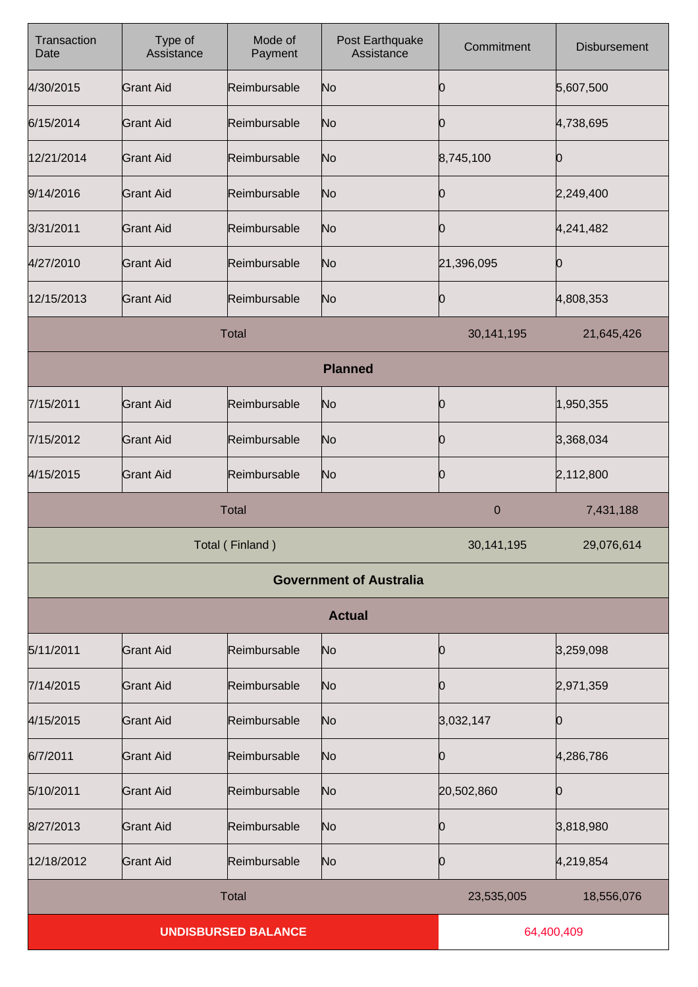| Transaction<br>Date        | Type of<br>Assistance | Mode of<br>Payment | Post Earthquake<br>Assistance  | Commitment  | <b>Disbursement</b> |
|----------------------------|-----------------------|--------------------|--------------------------------|-------------|---------------------|
| 4/30/2015                  | <b>Grant Aid</b>      | Reimbursable       | No                             | Ю           | 5,607,500           |
| 6/15/2014                  | <b>Grant Aid</b>      | Reimbursable       | No                             | 0           | 4,738,695           |
| 12/21/2014                 | <b>Grant Aid</b>      | Reimbursable       | No                             | 8,745,100   | O                   |
| 9/14/2016                  | <b>Grant Aid</b>      | Reimbursable       | No                             | 0           | 2,249,400           |
| 3/31/2011                  | <b>Grant Aid</b>      | Reimbursable       | No                             | Ю           | 4,241,482           |
| 4/27/2010                  | <b>Grant Aid</b>      | Reimbursable       | No                             | 21,396,095  | 0                   |
| 12/15/2013                 | <b>Grant Aid</b>      | Reimbursable       | No                             | 0           | 4,808,353           |
|                            |                       | <b>Total</b>       |                                | 30,141,195  | 21,645,426          |
|                            |                       |                    | <b>Planned</b>                 |             |                     |
| 7/15/2011                  | <b>Grant Aid</b>      | Reimbursable       | No                             | 0           | 1,950,355           |
| 7/15/2012                  | <b>Grant Aid</b>      | Reimbursable       | No                             | 0           | 3,368,034           |
| 4/15/2015                  | <b>Grant Aid</b>      | Reimbursable       | No                             | 0           | 2,112,800           |
|                            |                       | <b>Total</b>       |                                | $\mathbf 0$ | 7,431,188           |
| Total (Finland)            |                       |                    | 30, 141, 195                   | 29,076,614  |                     |
|                            |                       |                    | <b>Government of Australia</b> |             |                     |
|                            |                       |                    | <b>Actual</b>                  |             |                     |
| 5/11/2011                  | <b>Grant Aid</b>      | Reimbursable       | No                             | 0           | 3,259,098           |
| 7/14/2015                  | <b>Grant Aid</b>      | Reimbursable       | No                             | 0           | 2,971,359           |
| 4/15/2015                  | <b>Grant Aid</b>      | Reimbursable       | No                             | 3,032,147   | 0                   |
| 6/7/2011                   | <b>Grant Aid</b>      | Reimbursable       | No                             | 0           | 4,286,786           |
| 5/10/2011                  | <b>Grant Aid</b>      | Reimbursable       | No                             | 20,502,860  | Ю                   |
| 8/27/2013                  | <b>Grant Aid</b>      | Reimbursable       | No                             | 0           | 3,818,980           |
| 12/18/2012                 | <b>Grant Aid</b>      | Reimbursable       | No                             | 0           | 4,219,854           |
|                            |                       | <b>Total</b>       |                                | 23,535,005  | 18,556,076          |
| <b>UNDISBURSED BALANCE</b> |                       |                    | 64,400,409                     |             |                     |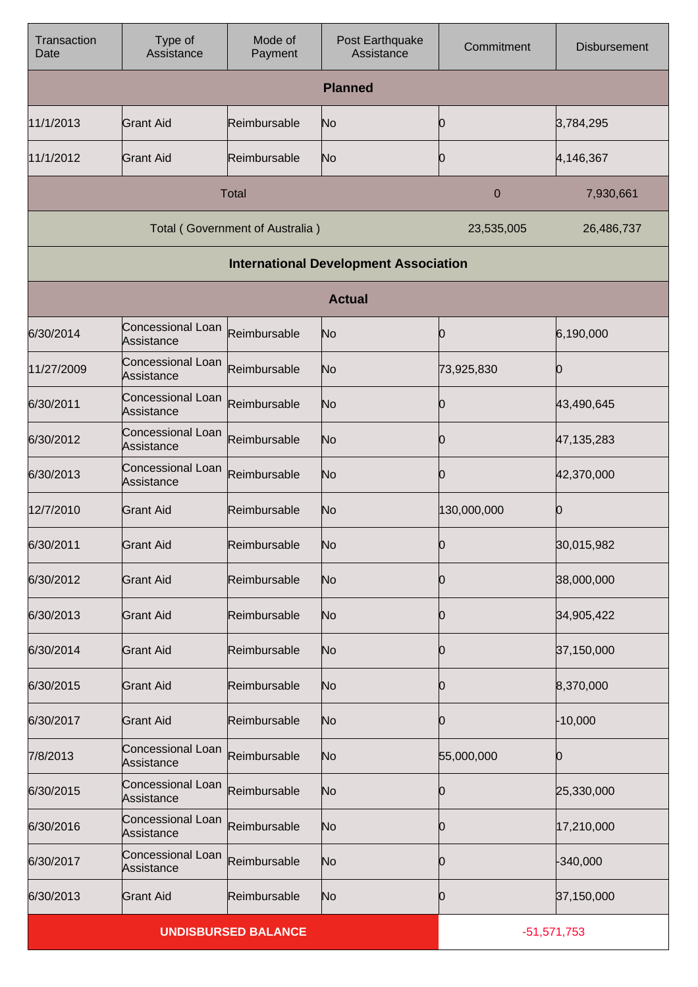| Transaction<br>Date        | Type of<br>Assistance           | Mode of<br>Payment              | Post Earthquake<br>Assistance                | Commitment    | <b>Disbursement</b> |
|----------------------------|---------------------------------|---------------------------------|----------------------------------------------|---------------|---------------------|
|                            |                                 |                                 | <b>Planned</b>                               |               |                     |
| 11/1/2013                  | <b>Grant Aid</b>                | Reimbursable                    | No                                           | 10            | 3,784,295           |
| 11/1/2012                  | Grant Aid                       | Reimbursable                    | No                                           | 10            | 4,146,367           |
|                            |                                 | <b>Total</b>                    |                                              | 0             | 7,930,661           |
|                            |                                 | Total (Government of Australia) |                                              | 23,535,005    | 26,486,737          |
|                            |                                 |                                 | <b>International Development Association</b> |               |                     |
|                            |                                 |                                 | <b>Actual</b>                                |               |                     |
| 6/30/2014                  | Concessional Loan<br>Assistance | Reimbursable                    | No                                           | Ю             | 6,190,000           |
| 11/27/2009                 | Concessional Loan<br>Assistance | Reimbursable                    | No                                           | 73,925,830    | Ю                   |
| 6/30/2011                  | Concessional Loan<br>Assistance | Reimbursable                    | No                                           | 10            | 43,490,645          |
| 6/30/2012                  | Concessional Loan<br>Assistance | Reimbursable                    | No                                           | 0             | 47, 135, 283        |
| 6/30/2013                  | Concessional Loan<br>Assistance | Reimbursable                    | No                                           | 10            | 42,370,000          |
| 12/7/2010                  | <b>Grant Aid</b>                | Reimbursable                    | No                                           | 130,000,000   | Ю                   |
| 6/30/2011                  | <b>Grant Aid</b>                | Reimbursable                    | No                                           | р             | 30,015,982          |
| 6/30/2012                  | <b>Grant Aid</b>                | Reimbursable                    | No                                           | 10            | 38,000,000          |
| 6/30/2013                  | <b>Grant Aid</b>                | Reimbursable                    | No                                           | 10            | 34,905,422          |
| 6/30/2014                  | <b>Grant Aid</b>                | Reimbursable                    | No                                           | 0             | 37,150,000          |
| 6/30/2015                  | <b>Grant Aid</b>                | Reimbursable                    | No                                           | 10            | 8,370,000           |
| 6/30/2017                  | <b>Grant Aid</b>                | Reimbursable                    | No                                           | 0             | $-10,000$           |
| 7/8/2013                   | Concessional Loan<br>Assistance | Reimbursable                    | No                                           | 55,000,000    | Ю                   |
| 6/30/2015                  | Concessional Loan<br>Assistance | Reimbursable                    | No                                           | Ю             | 25,330,000          |
| 6/30/2016                  | Concessional Loan<br>Assistance | Reimbursable                    | No                                           | 0             | 17,210,000          |
| 6/30/2017                  | Concessional Loan<br>Assistance | Reimbursable                    | No                                           | 10            | $-340,000$          |
| 6/30/2013                  | <b>Grant Aid</b>                | Reimbursable                    | No                                           | 0             | 37,150,000          |
| <b>UNDISBURSED BALANCE</b> |                                 |                                 |                                              | $-51,571,753$ |                     |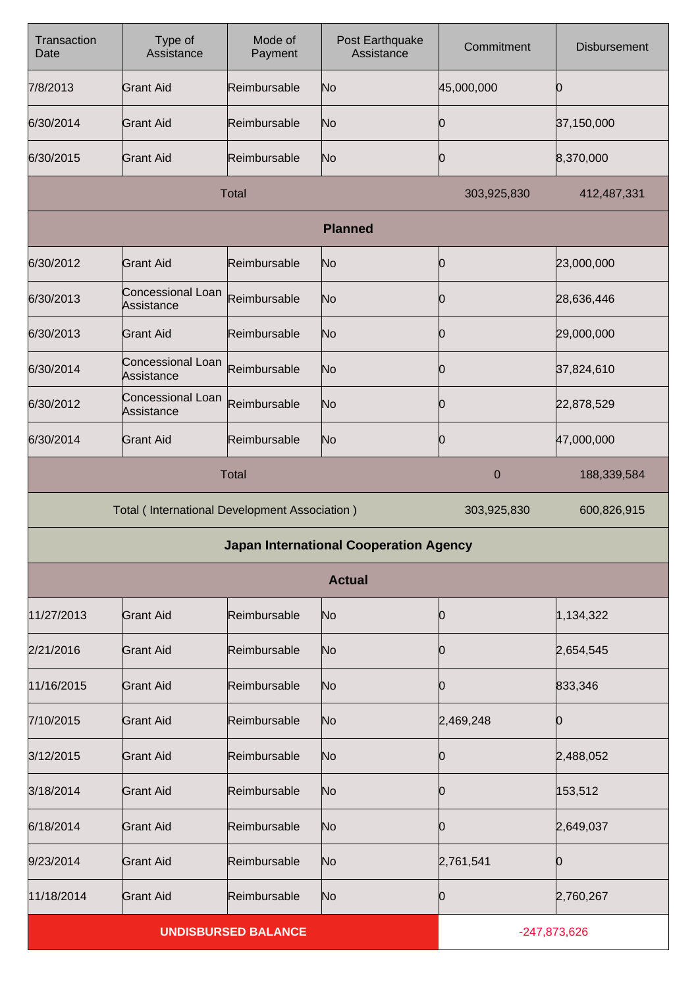| Transaction<br>Date                                  | Type of<br>Assistance           | Mode of<br>Payment | Post Earthquake<br>Assistance                 | Commitment     | <b>Disbursement</b> |
|------------------------------------------------------|---------------------------------|--------------------|-----------------------------------------------|----------------|---------------------|
| 7/8/2013                                             | Grant Aid                       | Reimbursable       | No                                            | 45,000,000     | Ю                   |
| 6/30/2014                                            | Grant Aid                       | Reimbursable       | No                                            | Ю              | 37,150,000          |
| 6/30/2015                                            | <b>Grant Aid</b>                | Reimbursable       | N <sub>o</sub>                                | Ю              | 8,370,000           |
|                                                      |                                 | <b>Total</b>       |                                               | 303,925,830    | 412,487,331         |
|                                                      |                                 |                    | <b>Planned</b>                                |                |                     |
| 6/30/2012                                            | <b>Grant Aid</b>                | Reimbursable       | No                                            | 0              | 23,000,000          |
| 6/30/2013                                            | Concessional Loan<br>Assistance | Reimbursable       | No                                            | Ю              | 28,636,446          |
| 6/30/2013                                            | <b>Grant Aid</b>                | Reimbursable       | No                                            | Ю              | 29,000,000          |
| 6/30/2014                                            | Concessional Loan<br>Assistance | Reimbursable       | No                                            | Ю              | 37,824,610          |
| 6/30/2012                                            | Concessional Loan<br>Assistance | Reimbursable       | No                                            | Ю              | 22,878,529          |
| 6/30/2014                                            | <b>Grant Aid</b>                | Reimbursable       | No                                            | Ю              | 47,000,000          |
| <b>Total</b>                                         |                                 |                    |                                               | $\mathbf 0$    | 188,339,584         |
| <b>Total (International Development Association)</b> |                                 |                    | 303,925,830                                   | 600,826,915    |                     |
|                                                      |                                 |                    | <b>Japan International Cooperation Agency</b> |                |                     |
|                                                      |                                 |                    | <b>Actual</b>                                 |                |                     |
| 11/27/2013                                           | Grant Aid                       | Reimbursable       | No                                            | Ю              | 1,134,322           |
| 2/21/2016                                            | <b>Grant Aid</b>                | Reimbursable       | N <sub>o</sub>                                | Ю              | 2,654,545           |
| 11/16/2015                                           | <b>Grant Aid</b>                | Reimbursable       | No                                            | 0              | 833,346             |
| 7/10/2015                                            | <b>Grant Aid</b>                | Reimbursable       | No                                            | 2,469,248      | Ю                   |
| 3/12/2015                                            | <b>Grant Aid</b>                | Reimbursable       | No                                            | Ю              | 2,488,052           |
| 3/18/2014                                            | <b>Grant Aid</b>                | Reimbursable       | N <sub>o</sub>                                | Ю              | 153,512             |
| 6/18/2014                                            | <b>Grant Aid</b>                | Reimbursable       | No                                            | 0              | 2,649,037           |
| 9/23/2014                                            | <b>Grant Aid</b>                | Reimbursable       | N <sub>o</sub>                                | 2,761,541      | 0                   |
| 11/18/2014                                           | <b>Grant Aid</b>                | Reimbursable       | N <sub>o</sub>                                | Ю              | 2,760,267           |
| <b>UNDISBURSED BALANCE</b>                           |                                 |                    |                                               | $-247,873,626$ |                     |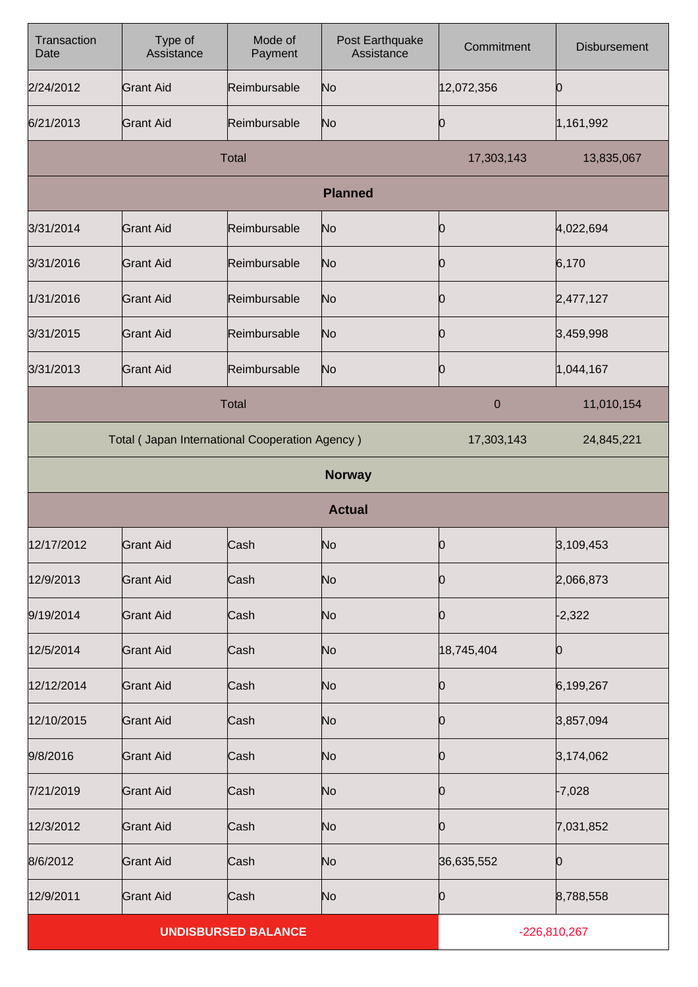| Transaction<br>Date        | Type of<br>Assistance                          | Mode of<br>Payment | Post Earthquake<br>Assistance | Commitment     | Disbursement |
|----------------------------|------------------------------------------------|--------------------|-------------------------------|----------------|--------------|
| 2/24/2012                  | <b>Grant Aid</b>                               | Reimbursable       | No                            | 12,072,356     | O            |
| 6/21/2013                  | <b>Grant Aid</b>                               | Reimbursable       | No                            | Ю              | 1,161,992    |
|                            |                                                | <b>Total</b>       |                               | 17,303,143     | 13,835,067   |
|                            |                                                |                    | <b>Planned</b>                |                |              |
| 3/31/2014                  | <b>Grant Aid</b>                               | Reimbursable       | No                            | 0              | 4,022,694    |
| 3/31/2016                  | <b>Grant Aid</b>                               | Reimbursable       | No                            | Ю              | 6,170        |
| 1/31/2016                  | <b>Grant Aid</b>                               | Reimbursable       | No                            | Ю              | 2,477,127    |
| 3/31/2015                  | <b>Grant Aid</b>                               | Reimbursable       | No                            | Ю              | 3,459,998    |
| 3/31/2013                  | <b>Grant Aid</b>                               | Reimbursable       | No                            | Ю              | 1,044,167    |
|                            |                                                | Total              |                               | $\mathbf 0$    | 11,010,154   |
|                            | Total (Japan International Cooperation Agency) |                    |                               | 17,303,143     | 24,845,221   |
|                            |                                                |                    | <b>Norway</b>                 |                |              |
|                            |                                                |                    | <b>Actual</b>                 |                |              |
| 12/17/2012                 | <b>Grant Aid</b>                               | Cash               | No                            | 0              | 3,109,453    |
| 12/9/2013                  | <b>Grant Aid</b>                               | Cash               | No                            | Ю              | 2,066,873    |
| 9/19/2014                  | <b>Grant Aid</b>                               | Cash               | No                            | 10             | $-2,322$     |
| 12/5/2014                  | <b>Grant Aid</b>                               | Cash               | No                            | 18,745,404     | 0            |
| 12/12/2014                 | <b>Grant Aid</b>                               | Cash               | No                            | Ю              | 6,199,267    |
| 12/10/2015                 | <b>Grant Aid</b>                               | Cash               | No                            | 0              | 3,857,094    |
| 9/8/2016                   | <b>Grant Aid</b>                               | Cash               | No                            | Ю              | 3,174,062    |
| 7/21/2019                  | <b>Grant Aid</b>                               | Cash               | No                            | 0              | $-7,028$     |
| 12/3/2012                  | <b>Grant Aid</b>                               | Cash               | No                            | Ю              | 7,031,852    |
| 8/6/2012                   | <b>Grant Aid</b>                               | Cash               | No                            | 36,635,552     | Ю            |
| 12/9/2011                  | <b>Grant Aid</b>                               | Cash               | No                            | Ю              | 8,788,558    |
| <b>UNDISBURSED BALANCE</b> |                                                |                    |                               | $-226,810,267$ |              |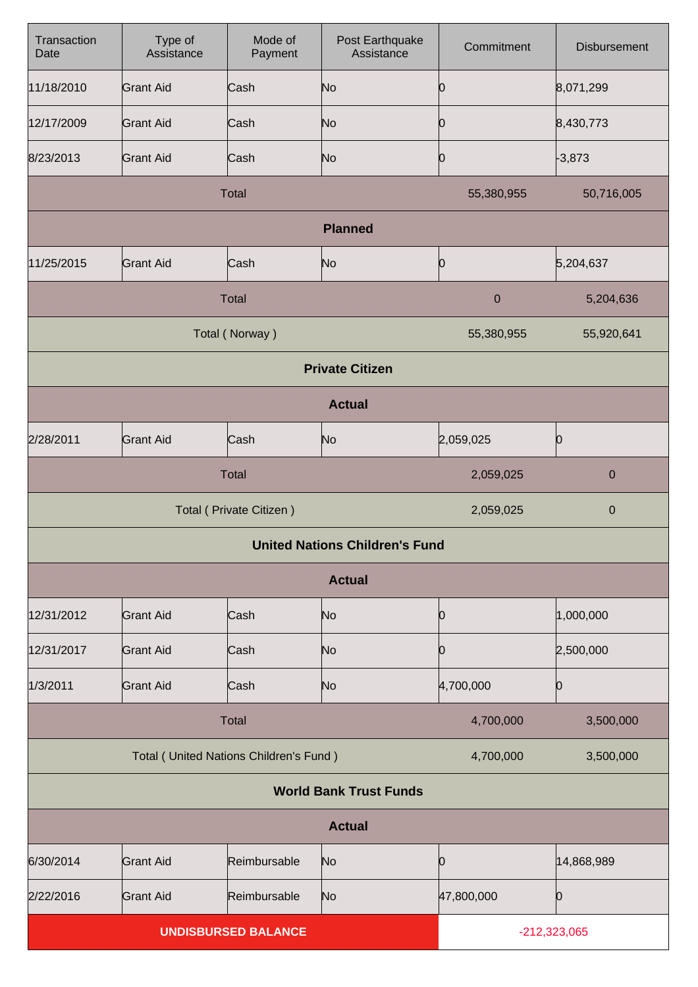| Transaction<br>Date        | Type of<br>Assistance                  | Mode of<br>Payment | Post Earthquake<br>Assistance         | Commitment       | <b>Disbursement</b> |  |
|----------------------------|----------------------------------------|--------------------|---------------------------------------|------------------|---------------------|--|
| 11/18/2010                 | <b>Grant Aid</b>                       | Cash               | N <sub>o</sub>                        | 10               | 8,071,299           |  |
| 12/17/2009                 | <b>Grant Aid</b>                       | Cash               | N <sub>o</sub>                        | 10               | 8,430,773           |  |
| 8/23/2013                  | <b>Grant Aid</b>                       | Cash               | N <sub>o</sub>                        | 0                | $-3,873$            |  |
|                            |                                        | Total              |                                       | 55,380,955       | 50,716,005          |  |
|                            |                                        |                    | <b>Planned</b>                        |                  |                     |  |
| 11/25/2015                 | <b>Grant Aid</b>                       | Cash               | N <sub>o</sub>                        | 0                | 5,204,637           |  |
|                            |                                        | Total              |                                       | $\boldsymbol{0}$ | 5,204,636           |  |
|                            |                                        | Total (Norway)     |                                       | 55,380,955       | 55,920,641          |  |
|                            |                                        |                    | <b>Private Citizen</b>                |                  |                     |  |
| <b>Actual</b>              |                                        |                    |                                       |                  |                     |  |
| 2/28/2011                  | <b>Grant Aid</b>                       | Cash               | N <sub>o</sub>                        | 2,059,025        | 0                   |  |
|                            |                                        | Total              |                                       | 2,059,025        | $\pmb{0}$           |  |
| Total ( Private Citizen )  |                                        |                    |                                       | 2,059,025        | $\pmb{0}$           |  |
|                            |                                        |                    | <b>United Nations Children's Fund</b> |                  |                     |  |
|                            |                                        |                    | <b>Actual</b>                         |                  |                     |  |
| 12/31/2012                 | <b>Grant Aid</b>                       | Cash               | N <sub>o</sub>                        | 10               | 1,000,000           |  |
| 12/31/2017                 | <b>Grant Aid</b>                       | Cash               | N <sub>o</sub>                        | Ю                | 2,500,000           |  |
| 1/3/2011                   | <b>Grant Aid</b>                       | Cash               | N <sub>o</sub>                        | 4,700,000        | 0                   |  |
|                            |                                        | Total              |                                       | 4,700,000        | 3,500,000           |  |
|                            | Total (United Nations Children's Fund) |                    |                                       | 4,700,000        | 3,500,000           |  |
|                            | <b>World Bank Trust Funds</b>          |                    |                                       |                  |                     |  |
|                            |                                        |                    | <b>Actual</b>                         |                  |                     |  |
| 6/30/2014                  | <b>Grant Aid</b>                       | Reimbursable       | N <sub>o</sub>                        | 0                | 14,868,989          |  |
| 2/22/2016                  | <b>Grant Aid</b>                       | Reimbursable       | No                                    | 47,800,000       | 0                   |  |
| <b>UNDISBURSED BALANCE</b> |                                        |                    | $-212,323,065$                        |                  |                     |  |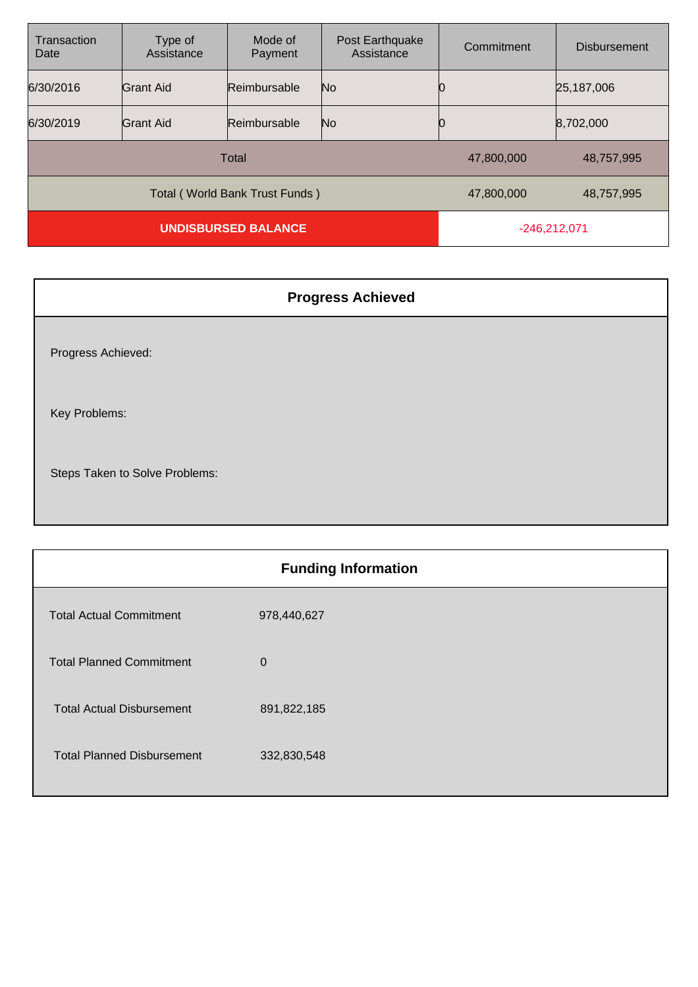| Transaction<br>Date        | Type of<br>Assistance          | Mode of<br>Payment | Post Earthquake<br>Assistance | Commitment | <b>Disbursement</b> |
|----------------------------|--------------------------------|--------------------|-------------------------------|------------|---------------------|
| 6/30/2016                  | Grant Aid                      | Reimbursable       | No                            |            | 25,187,006          |
| 6/30/2019                  | Grant Aid                      | Reimbursable       | No                            |            | 8,702,000           |
|                            | Total                          | 47,800,000         | 48,757,995                    |            |                     |
|                            | Total (World Bank Trust Funds) | 47,800,000         | 48,757,995                    |            |                     |
| <b>UNDISBURSED BALANCE</b> |                                |                    | $-246,212,071$                |            |                     |

| <b>Progress Achieved</b>       |  |  |  |  |
|--------------------------------|--|--|--|--|
| Progress Achieved:             |  |  |  |  |
| Key Problems:                  |  |  |  |  |
| Steps Taken to Solve Problems: |  |  |  |  |

| <b>Funding Information</b>        |             |  |  |
|-----------------------------------|-------------|--|--|
| <b>Total Actual Commitment</b>    | 978,440,627 |  |  |
| <b>Total Planned Commitment</b>   | $\mathbf 0$ |  |  |
| <b>Total Actual Disbursement</b>  | 891,822,185 |  |  |
| <b>Total Planned Disbursement</b> | 332,830,548 |  |  |
|                                   |             |  |  |